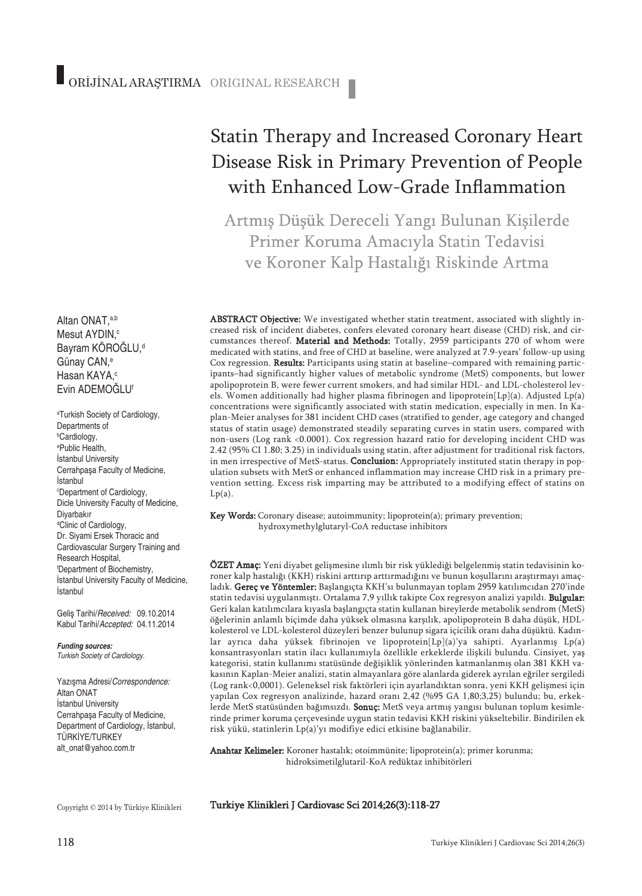# Disease Risk in Primary Prevention of People with Enhanced Low-Grade Inflammation

Statin Therapy and Increased Coronary Heart

Artmış Düşük Dereceli Yangı Bulunan Kişilerde Primer Koruma Amacıyla Statin Tedavisi ve Koroner Kalp Hastalığı Riskinde Artma

ABSTRACT Objective: We investigated whether statin treatment, associated with slightly increased risk of incident diabetes, confers elevated coronary heart disease (CHD) risk, and circumstances thereof. Material and Methods: Totally, 2959 participants 270 of whom were medicated with statins, and free of CHD at baseline, were analyzed at 7.9-years' follow-up using Cox regression. Results: Participants using statin at baseline–compared with remaining participants–had significantly higher values of metabolic syndrome (MetS) components, but lower apolipoprotein B, were fewer current smokers, and had similar HDL- and LDL-cholesterol levels. Women additionally had higher plasma fibrinogen and lipoprotein[Lp](a). Adjusted Lp(a) concentrations were significantly associated with statin medication, especially in men. In Kaplan-Meier analyses for 381 incident CHD cases (stratified to gender, age category and changed status of statin usage) demonstrated steadily separating curves in statin users, compared with non-users (Log rank <0.0001). Cox regression hazard ratio for developing incident CHD was 2.42 (95% CI 1.80; 3.25) in individuals using statin, after adjustment for traditional risk factors, in men irrespective of MetS-status. Conclusion: Appropriately instituted statin therapy in population subsets with MetS or enhanced inflammation may increase CHD risk in a primary prevention setting. Excess risk imparting may be attributed to a modifying effect of statins on  $Lp(a)$ .

Key Words: Coronary disease; autoimmunity; lipoprotein(a); primary prevention; hydroxymethylglutaryl-CoA reductase inhibitors

ÖZET Amaç: Yeni diyabet gelişmesine ılımlı bir risk yüklediği belgelenmiş statin tedavisinin koroner kalp hastalığı (KKH) riskini arttırıp arttırmadığını ve bunun koşullarını araştırmayı amaçladık. Gereç ve Yöntemler: Başlangıçta KKH'sı bulunmayan toplam 2959 katılımcıdan 270'inde statin tedavisi uygulanmıştı. Ortalama 7,9 yıllık takipte Cox regresyon analizi yapıldı. Bulgular: Geri kalan katılımcılara kıyasla başlangıçta statin kullanan bireylerde metabolik sendrom (MetS) öğelerinin anlamlı biçimde daha yüksek olmasına karşılık, apolipoprotein B daha düşük, HDLkolesterol ve LDL-kolesterol düzeyleri benzer bulunup sigara içicilik oranı daha düşüktü. Kadınlar ayrıca daha yüksek fibrinojen ve lipoprotein[Lp](a)'ya sahipti. Ayarlanmış Lp(a) konsantrasyonları statin ilacı kullanımıyla özellikle erkeklerde ilişkili bulundu. Cinsiyet, yaş kategorisi, statin kullanımı statüsünde değişiklik yönlerinden katmanlanmış olan 381 KKH vakasının Kaplan-Meier analizi, statin almayanlara göre alanlarda giderek ayrılan eğriler sergiledi (Log rank<0,0001). Geleneksel risk faktörleri için ayarlandıktan sonra, yeni KKH gelişmesi için yapılan Cox regresyon analizinde, hazard oranı 2,42 (%95 GA 1,80;3,25) bulundu; bu, erkeklerde MetS statüsünden bağımsızdı. Sonuç: MetS veya artmış yangısı bulunan toplum kesimlerinde primer koruma çerçevesinde uygun statin tedavisi KKH riskini yükseltebilir. Bindirilen ek risk yükü, statinlerin Lp(a)'yı modifiye edici etkisine bağlanabilir.

Anahtar Kelimeler: Koroner hastalık; otoimmünite; lipoprotein(a); primer korunma; hidroksimetilglutaril-KoA redüktaz inhibitörleri

Turkiye Klinikleri J Cardiovasc Sci 2014;26(3):118-27

Copyright © 2014 by Türkiye Klinikleri

Altan ONAT, a,b Mesut AYDIN, c Bayram KÖROĞLU, d Günay CAN, e Hasan KAYA, c Evin ADEMOĞLUf

a Turkish Society of Cardiology, Departments of b Cardiology, e Public Health, İstanbul University Cerrahpaşa Faculty of Medicine, İstanbul c Department of Cardiology, Dicle University Faculty of Medicine, Diyarbakır <sup>d</sup>Clinic of Cardiology, Dr. Siyami Ersek Thoracic and Cardiovascular Surgery Training and Research Hospital, f Department of Biochemistry, İstanbul University Faculty of Medicine, İstanbul

Geliş Tarihi/*Received:* 09.10.2014 Kabul Tarihi/*Accepted:* 04.11.2014

*Funding sources: Turkish Society of Cardiology.*

Yazışma Adresi/*Correspondence:* Altan ONAT İstanbul University Cerrahpaşa Faculty of Medicine, Department of Cardiology, İstanbul, TÜRKİYE/TURKEY alt\_onat@yahoo.com.tr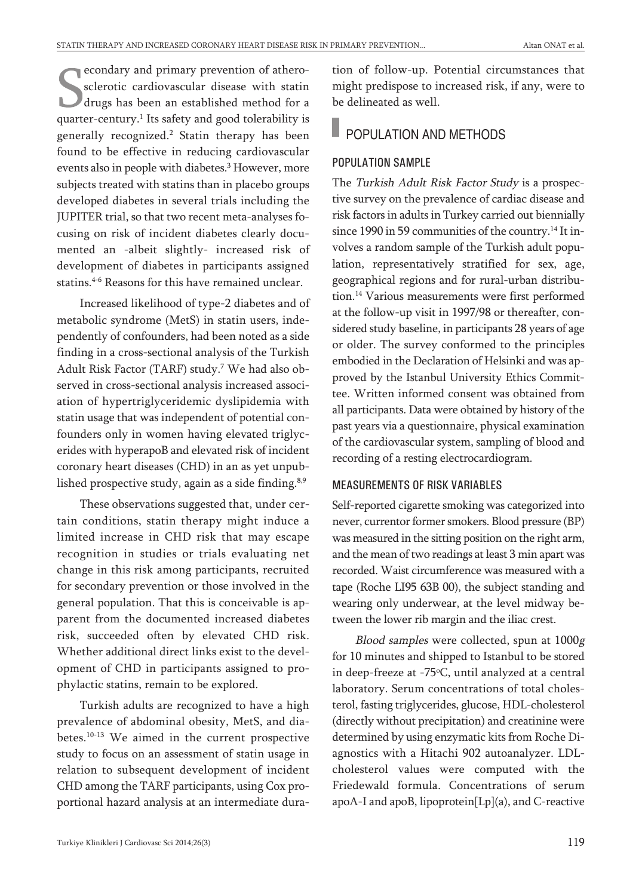econdary and primary prevention of atherosclerotic cardiovascular disease with statin drugs has been an established method for a quarter-century. <sup>1</sup> Its safety and good tolerability is generally recognized. <sup>2</sup> Statin therapy has been found to be effective in reducing cardiovascular events also in people with diabetes. <sup>3</sup> However, more subjects treated with statins than in placebo groups developed diabetes in several trials including the JUPITER trial, so that two recent meta-analyses focusing on risk of incident diabetes clearly documented an -albeit slightly- increased risk of development of diabetes in participants assigned statins. 4-6 Reasons for this have remained unclear.

Increased likelihood of type-2 diabetes and of metabolic syndrome (MetS) in statin users, independently of confounders, had been noted as a side finding in a cross-sectional analysis of the Turkish Adult Risk Factor (TARF) study. <sup>7</sup> We had also observed in cross-sectional analysis increased association of hypertriglyceridemic dyslipidemia with statin usage that was independent of potential confounders only in women having elevated triglycerides with hyperapoB and elevated risk of incident coronary heart diseases (CHD) in an as yet unpublished prospective study, again as a side finding.<sup>8,9</sup>

These observations suggested that, under certain conditions, statin therapy might induce a limited increase in CHD risk that may escape recognition in studies or trials evaluating net change in this risk among participants, recruited for secondary prevention or those involved in the general population. That this is conceivable is apparent from the documented increased diabetes risk, succeeded often by elevated CHD risk. Whether additional direct links exist to the development of CHD in participants assigned to prophylactic statins, remain to be explored.

Turkish adults are recognized to have a high prevalence of abdominal obesity, MetS, and diabetes. 10-13 We aimed in the current prospective study to focus on an assessment of statin usage in relation to subsequent development of incident CHD among the TARF participants, using Cox proportional hazard analysis at an intermediate duration of follow-up. Potential circumstances that might predispose to increased risk, if any, were to be delineated as well.

# POPULATION AND METHODS

#### POPULATION SAMPLE

The Turkish Adult Risk Factor Study is a prospective survey on the prevalence of cardiac disease and risk factors in adults in Turkey carried out biennially since 1990 in 59 communities of the country.<sup>14</sup> It involves a random sample of the Turkish adult population, representatively stratified for sex, age, geographical regions and for rural-urban distribution. <sup>14</sup> Various measurements were first performed at the follow-up visit in 1997/98 or thereafter, considered study baseline, in participants 28 years of age or older. The survey conformed to the principles embodied in the Declaration of Helsinki and was approved by the Istanbul University Ethics Committee. Written informed consent was obtained from all participants. Data were obtained by history of the past years via a questionnaire, physical examination of the cardiovascular system, sampling of blood and recording of a resting electrocardiogram.

#### MEASUREMENTS OF RISK VARIABLES

Self-reported cigarette smoking was categorized into never, currentor former smokers. Blood pressure (BP) was measured in the sitting position on the right arm, and the mean of two readings at least 3 min apart was recorded. Waist circumference was measured with a tape (Roche LI95 63B 00), the subject standing and wearing only underwear, at the level midway between the lower rib margin and the iliac crest.

Blood samples were collected, spun at 1000<sup>g</sup> for 10 minutes and shipped to Istanbul to be stored in deep-freeze at -75°C, until analyzed at a central laboratory. Serum concentrations of total cholesterol, fasting triglycerides, glucose, HDL-cholesterol (directly without precipitation) and creatinine were determined by using enzymatic kits from Roche Diagnostics with a Hitachi 902 autoanalyzer. LDLcholesterol values were computed with the Friedewald formula. Concentrations of serum apoA-I and apoB, lipoprotein[Lp](a), and C-reactive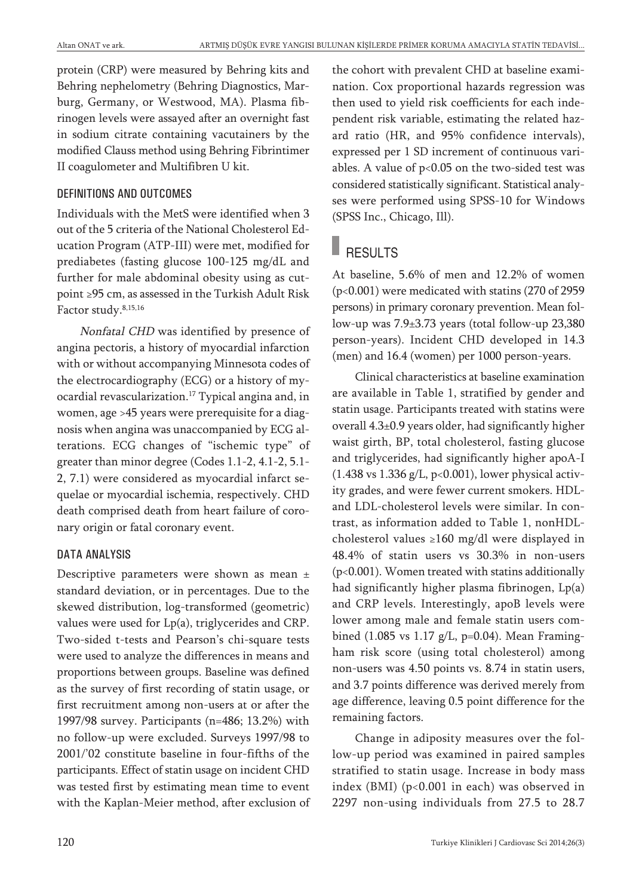protein (CRP) were measured by Behring kits and Behring nephelometry (Behring Diagnostics, Marburg, Germany, or Westwood, MA). Plasma fibrinogen levels were assayed after an overnight fast in sodium citrate containing vacutainers by the modified Clauss method using Behring Fibrintimer II coagulometer and Multifibren U kit.

#### DEFINITIONS AND OUTCOMES

Individuals with the MetS were identified when 3 out of the 5 criteria of the National Cholesterol Education Program (ATP-III) were met, modified for prediabetes (fasting glucose 100-125 mg/dL and further for male abdominal obesity using as cutpoint ≥95 cm, as assessed in the Turkish Adult Risk Factor study. 8,15,16

Nonfatal CHD was identified by presence of angina pectoris, a history of myocardial infarction with or without accompanying Minnesota codes of the electrocardiography (ECG) or a history of myocardial revascularization. <sup>17</sup> Typical angina and, in women, age >45 years were prerequisite for a diagnosis when angina was unaccompanied by ECG alterations. ECG changes of "ischemic type" of greater than minor degree (Codes 1.1-2, 4.1-2, 5.1- 2, 7.1) were considered as myocardial infarct sequelae or myocardial ischemia, respectively. CHD death comprised death from heart failure of coronary origin or fatal coronary event.

#### DATA ANALYSIS

Descriptive parameters were shown as mean ± standard deviation, or in percentages. Due to the skewed distribution, log-transformed (geometric) values were used for Lp(a), triglycerides and CRP. Two-sided t-tests and Pearson's chi-square tests were used to analyze the differences in means and proportions between groups. Baseline was defined as the survey of first recording of statin usage, or first recruitment among non-users at or after the 1997/98 survey. Participants (n=486; 13.2%) with no follow-up were excluded. Surveys 1997/98 to 2001/'02 constitute baseline in four-fifths of the participants. Effect of statin usage on incident CHD was tested first by estimating mean time to event with the Kaplan-Meier method, after exclusion of the cohort with prevalent CHD at baseline examination. Cox proportional hazards regression was then used to yield risk coefficients for each independent risk variable, estimating the related hazard ratio (HR, and 95% confidence intervals), expressed per 1 SD increment of continuous variables. A value of  $p<0.05$  on the two-sided test was considered statistically significant. Statistical analyses were performed using SPSS-10 for Windows (SPSS Inc., Chicago, Ill).

# **RESULTS**

At baseline, 5.6% of men and 12.2% of women (p<0.001) were medicated with statins (270 of 2959 persons) in primary coronary prevention. Mean follow-up was 7.9±3.73 years (total follow-up 23,380 person-years). Incident CHD developed in 14.3 (men) and 16.4 (women) per 1000 person-years.

Clinical characteristics at baseline examination are available in Table 1, stratified by gender and statin usage. Participants treated with statins were overall 4.3±0.9 years older, had significantly higher waist girth, BP, total cholesterol, fasting glucose and triglycerides, had significantly higher apoA-I  $(1.438 \text{ vs } 1.336 \text{ g/L}, \text{p} < 0.001)$ , lower physical activity grades, and were fewer current smokers. HDLand LDL-cholesterol levels were similar. In contrast, as information added to Table 1, nonHDLcholesterol values ≥160 mg/dl were displayed in 48.4% of statin users vs 30.3% in non-users (p<0.001). Women treated with statins additionally had significantly higher plasma fibrinogen, Lp(a) and CRP levels. Interestingly, apoB levels were lower among male and female statin users combined (1.085 vs 1.17 g/L, p=0.04). Mean Framingham risk score (using total cholesterol) among non-users was 4.50 points vs. 8.74 in statin users, and 3.7 points difference was derived merely from age difference, leaving 0.5 point difference for the remaining factors.

Change in adiposity measures over the follow-up period was examined in paired samples stratified to statin usage. Increase in body mass index (BMI) (p<0.001 in each) was observed in 2297 non-using individuals from 27.5 to 28.7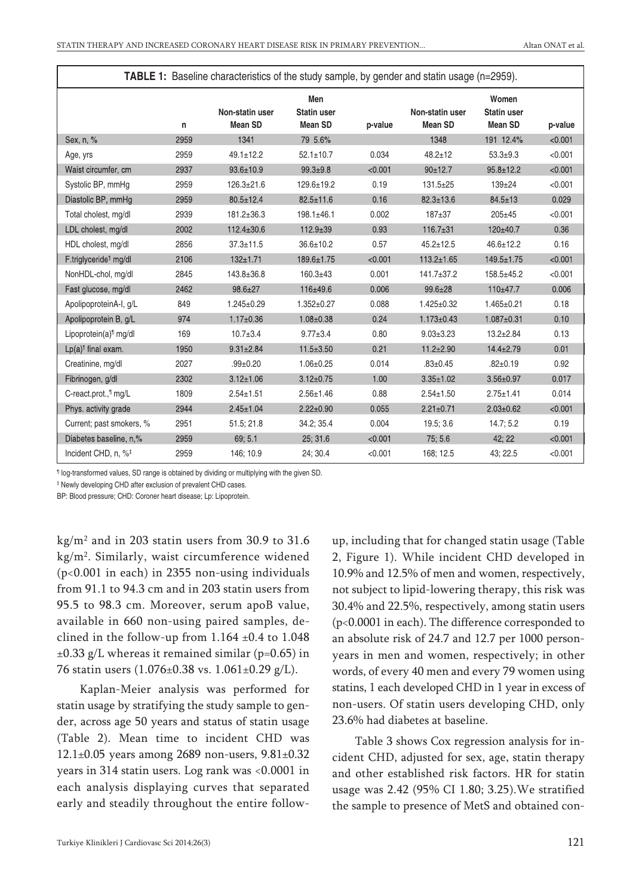| <b>TABLE 1:</b> Baseline characteristics of the study sample, by gender and statin usage (n=2959). |      |                                   |                                             |         |                                   |                                               |         |
|----------------------------------------------------------------------------------------------------|------|-----------------------------------|---------------------------------------------|---------|-----------------------------------|-----------------------------------------------|---------|
|                                                                                                    | n    | Non-statin user<br><b>Mean SD</b> | Men<br><b>Statin user</b><br><b>Mean SD</b> | p-value | Non-statin user<br><b>Mean SD</b> | Women<br><b>Statin user</b><br><b>Mean SD</b> | p-value |
| Sex, n, %                                                                                          | 2959 | 1341                              | 79 5.6%                                     |         | 1348                              | 191 12.4%                                     | < 0.001 |
| Age, yrs                                                                                           | 2959 | $49.1 \pm 12.2$                   | $52.1 \pm 10.7$                             | 0.034   | $48.2 \pm 12$                     | $53.3 + 9.3$                                  | < 0.001 |
| Waist circumfer, cm                                                                                | 2937 | $93.6 \pm 10.9$                   | $99.3 + 9.8$                                | < 0.001 | 90±12.7                           | $95.8 \pm 12.2$                               | < 0.001 |
| Systolic BP, mmHq                                                                                  | 2959 | $126.3 \pm 21.6$                  | 129.6±19.2                                  | 0.19    | $131.5 \pm 25$                    | $139 + 24$                                    | < 0.001 |
| Diastolic BP, mmHq                                                                                 | 2959 | $80.5 \pm 12.4$                   | $82.5 \pm 11.6$                             | 0.16    | $82.3 \pm 13.6$                   | $84.5 \pm 13$                                 | 0.029   |
| Total cholest, mg/dl                                                                               | 2939 | 181.2±36.3                        | 198.1±46.1                                  | 0.002   | $187 + 37$                        | $205 + 45$                                    | < 0.001 |
| LDL cholest, mg/dl                                                                                 | 2002 | $112.4 \pm 30.6$                  | $112.9 \pm 39$                              | 0.93    | $116.7 \pm 31$                    | 120±40.7                                      | 0.36    |
| HDL cholest, mg/dl                                                                                 | 2856 | $37.3 \pm 11.5$                   | $36.6 \pm 10.2$                             | 0.57    | $45.2 \pm 12.5$                   | $46.6 \pm 12.2$                               | 0.16    |
| F.triglyceride <sup>1</sup> mg/dl                                                                  | 2106 | $132 + 1.71$                      | 189.6±1.75                                  | < 0.001 | $113.2 \pm 1.65$                  | $149.5 \pm 1.75$                              | < 0.001 |
| NonHDL-chol, mg/dl                                                                                 | 2845 | 143.8±36.8                        | $160.3 + 43$                                | 0.001   | $141.7 \pm 37.2$                  | 158.5±45.2                                    | < 0.001 |
| Fast glucose, mg/dl                                                                                | 2462 | 98.6±27                           | 116±49.6                                    | 0.006   | 99.6±28                           | 110±47.7                                      | 0.006   |
| ApolipoproteinA-I, q/L                                                                             | 849  | $1.245 \pm 0.29$                  | $1.352 \pm 0.27$                            | 0.088   | $1.425 \pm 0.32$                  | $1.465 \pm 0.21$                              | 0.18    |
| Apolipoprotein B, q/L                                                                              | 974  | $1.17 \pm 0.36$                   | $1.08 \pm 0.38$                             | 0.24    | $1.173 \pm 0.43$                  | $1.087 + 0.31$                                | 0.10    |
| Lipoprotein(a) <sup>1</sup> mg/dl                                                                  | 169  | $10.7 \pm 3.4$                    | $9.77 \pm 3.4$                              | 0.80    | $9.03 \pm 3.23$                   | $13.2 \pm 2.84$                               | 0.13    |
| $Lp(a)^{1}$ final exam.                                                                            | 1950 | $9.31 \pm 2.84$                   | $11.5 \pm 3.50$                             | 0.21    | $11.2 \pm 2.90$                   | $14.4 \pm 2.79$                               | 0.01    |
| Creatinine, mg/dl                                                                                  | 2027 | $.99 + 0.20$                      | $1.06 \pm 0.25$                             | 0.014   | $.83 \pm 0.45$                    | $.82{\pm}0.19$                                | 0.92    |
| Fibrinogen, g/dl                                                                                   | 2302 | $3.12 \pm 1.06$                   | $3.12 \pm 0.75$                             | 1.00    | $3.35 \pm 1.02$                   | $3.56 \pm 0.97$                               | 0.017   |
| C-react.prot., <sup>1</sup> mg/L                                                                   | 1809 | $2.54 \pm 1.51$                   | $2.56 \pm 1.46$                             | 0.88    | $2.54 \pm 1.50$                   | $2.75 \pm 1.41$                               | 0.014   |
| Phys. activity grade                                                                               | 2944 | $2.45 \pm 1.04$                   | $2.22 \pm 0.90$                             | 0.055   | $2.21 \pm 0.71$                   | $2.03 \pm 0.62$                               | < 0.001 |
| Current; past smokers, %                                                                           | 2951 | 51.5; 21.8                        | 34.2; 35.4                                  | 0.004   | 19.5; 3.6                         | 14.7; 5.2                                     | 0.19    |
| Diabetes baseline, n,%                                                                             | 2959 | 69; 5.1                           | 25, 31.6                                    | < 0.001 | 75, 5.6                           | 42:22                                         | < 0.001 |
| Incident CHD, n, % <sup>‡</sup>                                                                    | 2959 | 146; 10.9                         | 24; 30.4                                    | < 0.001 | 168; 12.5                         | 43; 22.5                                      | < 0.001 |

¶ log-transformed values, SD range is obtained by dividing or multiplying with the given SD.

‡ Newly developing CHD after exclusion of prevalent CHD cases.

BP: Blood pressure; CHD: Coroner heart disease; Lp: Lipoprotein.

 $kg/m<sup>2</sup>$  and in 203 statin users from 30.9 to 31.6 kg/m2 . Similarly, waist circumference widened (p<0.001 in each) in 2355 non-using individuals from 91.1 to 94.3 cm and in 203 statin users from 95.5 to 98.3 cm. Moreover, serum apoB value, available in 660 non-using paired samples, declined in the follow-up from  $1.164 \pm 0.4$  to  $1.048$  $\pm 0.33$  g/L whereas it remained similar (p=0.65) in 76 statin users (1.076±0.38 vs. 1.061±0.29 g/L).

Kaplan-Meier analysis was performed for statin usage by stratifying the study sample to gender, across age 50 years and status of statin usage (Table 2). Mean time to incident CHD was 12.1±0.05 years among 2689 non-users, 9.81±0.32 years in 314 statin users. Log rank was <0.0001 in each analysis displaying curves that separated early and steadily throughout the entire followup, including that for changed statin usage (Table 2, Figure 1). While incident CHD developed in 10.9% and 12.5% of men and women, respectively, not subject to lipid-lowering therapy, this risk was 30.4% and 22.5%, respectively, among statin users (p<0.0001 in each). The difference corresponded to an absolute risk of 24.7 and 12.7 per 1000 personyears in men and women, respectively; in other words, of every 40 men and every 79 women using statins, 1 each developed CHD in 1 year in excess of non-users. Of statin users developing CHD, only 23.6% had diabetes at baseline.

Table 3 shows Cox regression analysis for incident CHD, adjusted for sex, age, statin therapy and other established risk factors. HR for statin usage was 2.42 (95% CI 1.80; 3.25).We stratified the sample to presence of MetS and obtained con-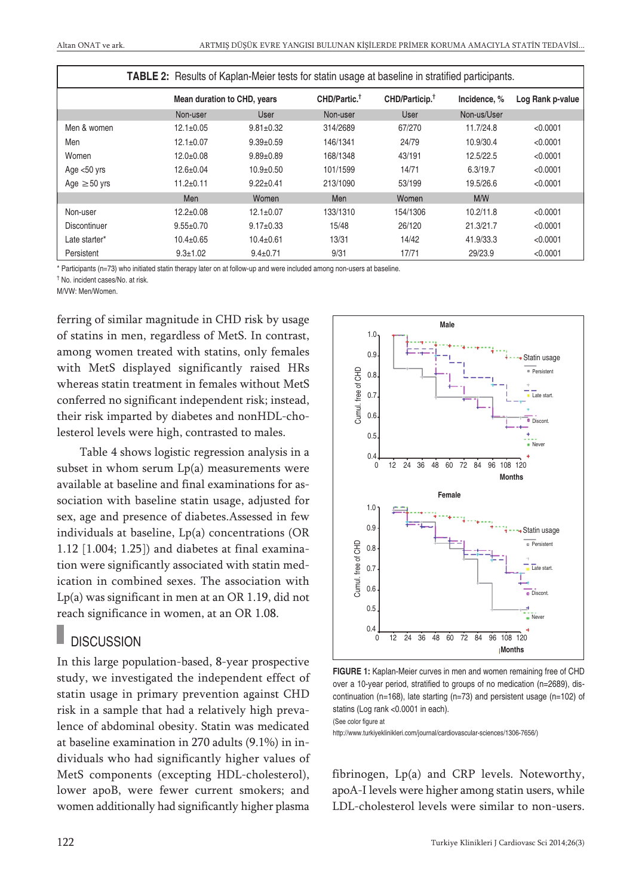|                   | TABLE 2: Results of Kaplan-Meier tests for statin usage at baseline in stratified participants. |                 |                          |                            |             |                  |  |
|-------------------|-------------------------------------------------------------------------------------------------|-----------------|--------------------------|----------------------------|-------------|------------------|--|
|                   | Mean duration to CHD, years                                                                     |                 | CHD/Partic. <sup>†</sup> | CHD/Particip. <sup>†</sup> |             | Log Rank p-value |  |
|                   | Non-user                                                                                        | User            | Non-user                 | User                       | Non-us/User |                  |  |
| Men & women       | $12.1 \pm 0.05$                                                                                 | $9.81 \pm 0.32$ | 314/2689                 | 67/270                     | 11.7/24.8   | < 0.0001         |  |
| Men               | $12.1 \pm 0.07$                                                                                 | $9.39 \pm 0.59$ | 146/1341                 | 24/79                      | 10.9/30.4   | < 0.0001         |  |
| Women             | $12.0+0.08$                                                                                     | $9.89 \pm 0.89$ | 168/1348                 | 43/191                     | 12.5/22.5   | < 0.0001         |  |
| Age $<$ 50 yrs    | $12.6 \pm 0.04$                                                                                 | $10.9 + 0.50$   | 101/1599                 | 14/71                      | 6.3/19.7    | < 0.0001         |  |
| Age $\geq 50$ yrs | $11.2 \pm 0.11$                                                                                 | $9.22 \pm 0.41$ | 213/1090                 | 53/199                     | 19.5/26.6   | < 0.0001         |  |
|                   | Men                                                                                             | Women           | Men                      | Women                      | M/W         |                  |  |
| Non-user          | $12.2 \pm 0.08$                                                                                 | $12.1 \pm 0.07$ | 133/1310                 | 154/1306                   | 10.2/11.8   | < 0.0001         |  |
| Discontinuer      | $9.55 \pm 0.70$                                                                                 | $9.17 \pm 0.33$ | 15/48                    | 26/120                     | 21.3/21.7   | < 0.0001         |  |
| Late starter*     | $10.4 \pm 0.65$                                                                                 | $10.4 \pm 0.61$ | 13/31                    | 14/42                      | 41.9/33.3   | < 0.0001         |  |
| Persistent        | $9.3 \pm 1.02$                                                                                  | $9.4 \pm 0.71$  | 9/31                     | 17/71                      | 29/23.9     | < 0.0001         |  |

\* Participants (n=73) who initiated statin therapy later on at follow-up and were included among non-users at baseline.

<sup>Ť</sup> No. incident cases/No. at risk.

M/VW: Men/Women.

ferring of similar magnitude in CHD risk by usage of statins in men, regardless of MetS. In contrast, among women treated with statins, only females with MetS displayed significantly raised HRs whereas statin treatment in females without MetS conferred no significant independent risk; instead, their risk imparted by diabetes and nonHDL-cholesterol levels were high, contrasted to males.

Table 4 shows logistic regression analysis in a subset in whom serum Lp(a) measurements were available at baseline and final examinations for association with baseline statin usage, adjusted for sex, age and presence of diabetes.Assessed in few individuals at baseline, Lp(a) concentrations (OR 1.12 [1.004; 1.25]) and diabetes at final examination were significantly associated with statin medication in combined sexes. The association with Lp(a) was significant in men at an OR 1.19, did not reach significance in women, at an OR 1.08.

### **DISCUSSION**

In this large population-based, 8-year prospective study, we investigated the independent effect of statin usage in primary prevention against CHD risk in a sample that had a relatively high prevalence of abdominal obesity. Statin was medicated at baseline examination in 270 adults (9.1%) in individuals who had significantly higher values of MetS components (excepting HDL-cholesterol), lower apoB, were fewer current smokers; and women additionally had significantly higher plasma



**FIGURE 1:** Kaplan-Meier curves in men and women remaining free of CHD over a 10-year period, stratified to groups of no medication (n=2689), discontinuation (n=168), late starting (n=73) and persistent usage (n=102) of statins (Log rank <0.0001 in each). (See color figure at

http://www.turkiyeklinikleri.com/journal/cardiovascular-sciences/1306-7656/)

fibrinogen, Lp(a) and CRP levels. Noteworthy, apoA-I levels were higher among statin users, while LDL-cholesterol levels were similar to non-users.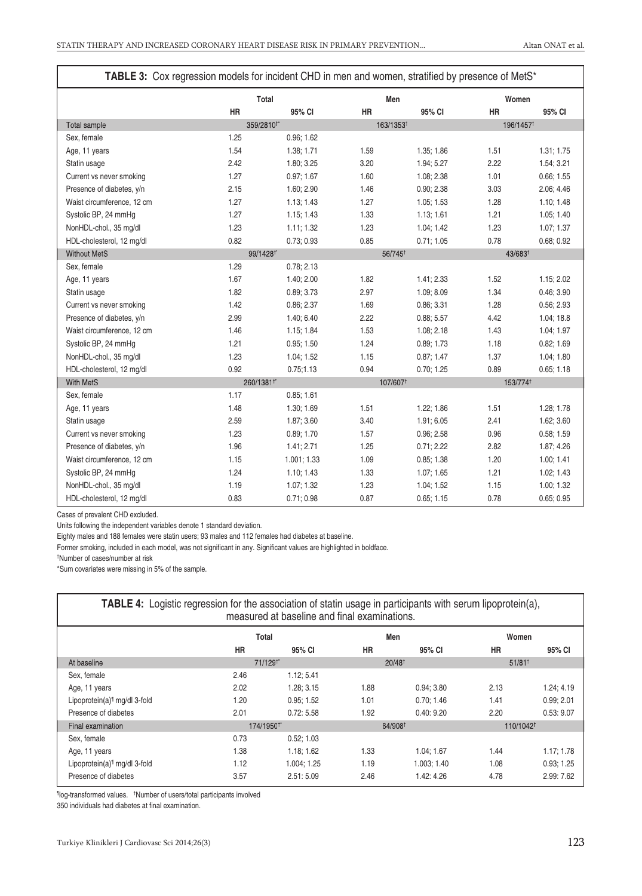| TABLE 3: Cox regression models for incident CHD in men and women, stratified by presence of MetS* |                      |                       |                     |                       |                     |                       |  |
|---------------------------------------------------------------------------------------------------|----------------------|-----------------------|---------------------|-----------------------|---------------------|-----------------------|--|
|                                                                                                   | Total                |                       |                     | Men                   |                     | Women                 |  |
|                                                                                                   | <b>HR</b>            | 95% CI                | <b>HR</b>           | 95% CI                | <b>HR</b>           | 95% CI                |  |
| Total sample                                                                                      |                      | 359/2810 <sup>+</sup> |                     | 163/1353 <sup>t</sup> |                     | 196/1457 <sup>t</sup> |  |
| Sex, female                                                                                       | 1.25                 | 0.96; 1.62            |                     |                       |                     |                       |  |
| Age, 11 years                                                                                     | 1.54                 | 1.38; 1.71            | 1.59                | 1.35; 1.86            | 1.51                | 1.31; 1.75            |  |
| Statin usage                                                                                      | 2.42                 | 1.80; 3.25            | 3.20                | 1.94; 5.27            | 2.22                | 1.54; 3.21            |  |
| Current vs never smoking                                                                          | 1.27                 | 0.97; 1.67            | 1.60                | 1.08; 2.38            | 1.01                | 0.66; 1.55            |  |
| Presence of diabetes, y/n                                                                         | 2.15                 | 1.60; 2.90            | 1.46                | 0.90; 2.38            | 3.03                | 2.06; 4.46            |  |
| Waist circumference, 12 cm                                                                        | 1.27                 | 1.13; 1.43            | 1.27                | 1.05; 1.53            | 1.28                | 1.10; 1.48            |  |
| Systolic BP, 24 mmHg                                                                              | 1.27                 | 1.15; 1.43            | 1.33                | 1.13; 1.61            | 1.21                | 1.05; 1.40            |  |
| NonHDL-chol., 35 mg/dl                                                                            | 1.23                 | 1.11; 1.32            | 1.23                | 1.04; 1.42            | 1.23                | 1.07; 1.37            |  |
| HDL-cholesterol, 12 mg/dl                                                                         | 0.82                 | 0.73; 0.93            | 0.85                | 0.71; 1.05            | 0.78                | 0.68; 0.92            |  |
| <b>Without MetS</b>                                                                               | 99/1428 <sup>+</sup> |                       | 56/745 <sup>+</sup> |                       | 43/683 <sup>+</sup> |                       |  |
| Sex, female                                                                                       | 1.29                 | 0.78; 2.13            |                     |                       |                     |                       |  |
| Age, 11 years                                                                                     | 1.67                 | 1.40; 2.00            | 1.82                | 1.41; 2.33            | 1.52                | 1.15; 2.02            |  |
| Statin usage                                                                                      | 1.82                 | 0.89; 3.73            | 2.97                | 1.09; 8.09            | 1.34                | 0.46; 3.90            |  |
| Current vs never smoking                                                                          | 1.42                 | 0.86; 2.37            | 1.69                | 0.86; 3.31            | 1.28                | 0.56; 2.93            |  |
| Presence of diabetes, y/n                                                                         | 2.99                 | 1.40; 6.40            | 2.22                | 0.88; 5.57            | 4.42                | 1.04; 18.8            |  |
| Waist circumference, 12 cm                                                                        | 1.46                 | 1.15; 1.84            | 1.53                | 1.08; 2.18            | 1.43                | 1.04; 1.97            |  |
| Systolic BP, 24 mmHg                                                                              | 1.21                 | 0.95; 1.50            | 1.24                | 0.89; 1.73            | 1.18                | 0.82; 1.69            |  |
| NonHDL-chol., 35 mg/dl                                                                            | 1.23                 | 1.04; 1.52            | 1.15                | 0.87; 1.47            | 1.37                | 1.04; 1.80            |  |
| HDL-cholesterol, 12 mg/dl                                                                         | 0.92                 | 0.75;1.13             | 0.94                | 0.70; 1.25            | 0.89                | 0.65; 1.18            |  |
| <b>With MetS</b>                                                                                  |                      | 260/1381 <sup>+</sup> |                     | 107/607 <sup>t</sup>  |                     | 153/774 <sup>t</sup>  |  |
| Sex, female                                                                                       | 1.17                 | 0.85; 1.61            |                     |                       |                     |                       |  |
| Age, 11 years                                                                                     | 1.48                 | 1.30; 1.69            | 1.51                | 1.22; 1.86            | 1.51                | 1.28; 1.78            |  |
| Statin usage                                                                                      | 2.59                 | 1.87; 3.60            | 3.40                | 1.91; 6.05            | 2.41                | 1.62; 3.60            |  |
| Current vs never smoking                                                                          | 1.23                 | 0.89; 1.70            | 1.57                | 0.96; 2.58            | 0.96                | 0.58; 1.59            |  |
| Presence of diabetes, y/n                                                                         | 1.96                 | 1.41; 2.71            | 1.25                | 0.71; 2.22            | 2.82                | 1.87; 4.26            |  |
| Waist circumference, 12 cm                                                                        | 1.15                 | 1.001; 1.33           | 1.09                | 0.85; 1.38            | 1.20                | 1.00; 1.41            |  |
| Systolic BP, 24 mmHg                                                                              | 1.24                 | 1.10; 1.43            | 1.33                | 1.07; 1.65            | 1.21                | 1.02; 1.43            |  |
| NonHDL-chol., 35 mg/dl                                                                            | 1.19                 | 1.07; 1.32            | 1.23                | 1.04; 1.52            | 1.15                | 1.00; 1.32            |  |
| HDL-cholesterol, 12 mg/dl                                                                         | 0.83                 | 0.71; 0.98            | 0.87                | 0.65; 1.15            | 0.78                | 0.65; 0.95            |  |

Cases of prevalent CHD excluded.

Units following the independent variables denote 1 standard deviation.

Eighty males and 188 females were statin users; 93 males and 112 females had diabetes at baseline.

Former smoking, included in each model, was not significant in any. Significant values are highlighted in boldface.

† Number of cases/number at risk

\*Sum covariates were missing in 5% of the sample.

| <b>TABLE 4:</b> Logistic regression for the association of statin usage in participants with serum lipoprotein(a),<br>measured at baseline and final examinations. |           |                       |           |                      |           |                       |  |
|--------------------------------------------------------------------------------------------------------------------------------------------------------------------|-----------|-----------------------|-----------|----------------------|-----------|-----------------------|--|
|                                                                                                                                                                    |           | Total                 |           | Men                  |           | Women                 |  |
|                                                                                                                                                                    | <b>HR</b> | 95% CI                | <b>HR</b> | 95% CI               | <b>HR</b> | 95% CI                |  |
| At baseline                                                                                                                                                        |           | 71/129 <sup>+</sup>   |           | $20/48$ <sup>t</sup> |           | $51/81$ <sup>t</sup>  |  |
| Sex, female                                                                                                                                                        | 2.46      | 1.12; 5.41            |           |                      |           |                       |  |
| Age, 11 years                                                                                                                                                      | 2.02      | 1.28; 3.15            | 1.88      | 0.94:3.80            | 2.13      | 1.24; 4.19            |  |
| Lipoprotein(a) <sup>1</sup> mg/dl 3-fold                                                                                                                           | 1.20      | 0.95:1.52             | 1.01      | 0.70; 1.46           | 1.41      | 0.99; 2.01            |  |
| Presence of diabetes                                                                                                                                               | 2.01      | 0.72:5.58             | 1.92      | 0.40:9.20            | 2.20      | 0.53:9.07             |  |
| Final examination                                                                                                                                                  |           | 174/1950 <sup>+</sup> |           | 64/908 <sup>t</sup>  |           | 110/1042 <sup>t</sup> |  |
| Sex, female                                                                                                                                                        | 0.73      | 0.52; 1.03            |           |                      |           |                       |  |
| Age, 11 years                                                                                                                                                      | 1.38      | 1.18; 1.62            | 1.33      | 1.04; 1.67           | 1.44      | 1.17; 1.78            |  |
| Lipoprotein(a) <sup>1</sup> mg/dl 3-fold                                                                                                                           | 1.12      | 1.004; 1.25           | 1.19      | 1.003; 1.40          | 1.08      | 0.93; 1.25            |  |
| Presence of diabetes                                                                                                                                               | 3.57      | 2.51:5.09             | 2.46      | 1.42: 4.26           | 4.78      | 2.99: 7.62            |  |

¶ log-transformed values. † Number of users/total participants involved

350 individuals had diabetes at final examination.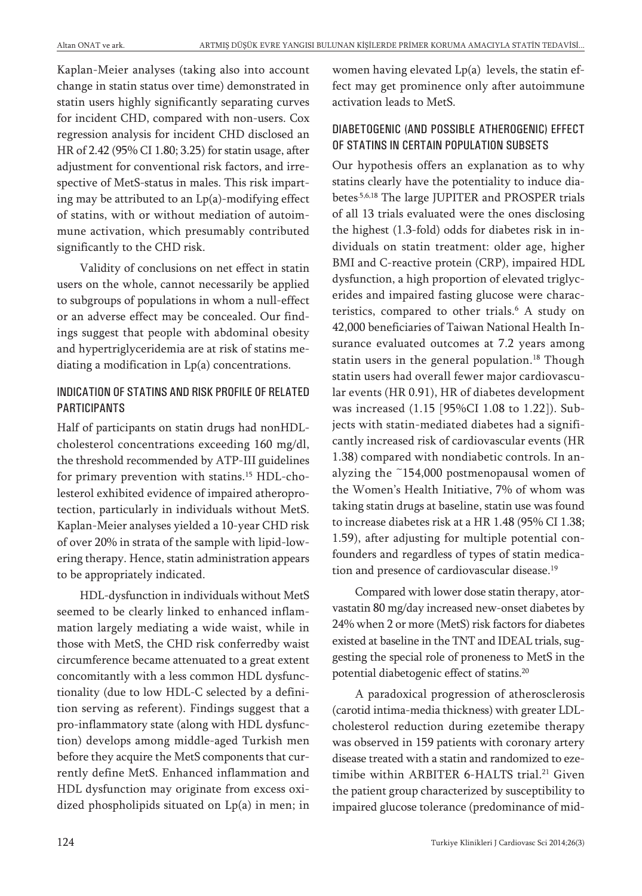Kaplan-Meier analyses (taking also into account change in statin status over time) demonstrated in statin users highly significantly separating curves for incident CHD, compared with non-users. Cox regression analysis for incident CHD disclosed an HR of 2.42 (95% CI 1.80; 3.25) for statin usage, after adjustment for conventional risk factors, and irrespective of MetS-status in males. This risk imparting may be attributed to an Lp(a)-modifying effect of statins, with or without mediation of autoimmune activation, which presumably contributed significantly to the CHD risk.

Validity of conclusions on net effect in statin users on the whole, cannot necessarily be applied to subgroups of populations in whom a null-effect or an adverse effect may be concealed. Our findings suggest that people with abdominal obesity and hypertriglyceridemia are at risk of statins mediating a modification in Lp(a) concentrations.

#### INDICATION OF STATINS AND RISK PROFILE OF RELATED PARTICIPANTS

Half of participants on statin drugs had nonHDLcholesterol concentrations exceeding 160 mg/dl, the threshold recommended by ATP-III guidelines for primary prevention with statins. <sup>15</sup> HDL-cholesterol exhibited evidence of impaired atheroprotection, particularly in individuals without MetS. Kaplan-Meier analyses yielded a 10-year CHD risk of over 20% in strata of the sample with lipid-lowering therapy. Hence, statin administration appears to be appropriately indicated.

HDL-dysfunction in individuals without MetS seemed to be clearly linked to enhanced inflammation largely mediating a wide waist, while in those with MetS, the CHD risk conferredby waist circumference became attenuated to a great extent concomitantly with a less common HDL dysfunctionality (due to low HDL-C selected by a definition serving as referent). Findings suggest that a pro-inflammatory state (along with HDL dysfunction) develops among middle-aged Turkish men before they acquire the MetS components that currently define MetS. Enhanced inflammation and HDL dysfunction may originate from excess oxidized phospholipids situated on Lp(a) in men; in women having elevated Lp(a) levels, the statin effect may get prominence only after autoimmune activation leads to MetS.

#### DIABETOGENIC (AND POSSIBLE ATHEROGENIC) EFFECT OF STATINS IN CERTAIN POPULATION SUBSETS

Our hypothesis offers an explanation as to why statins clearly have the potentiality to induce diabetes.5,6,18 The large JUPITER and PROSPER trials of all 13 trials evaluated were the ones disclosing the highest (1.3-fold) odds for diabetes risk in individuals on statin treatment: older age, higher BMI and C-reactive protein (CRP), impaired HDL dysfunction, a high proportion of elevated triglycerides and impaired fasting glucose were characteristics, compared to other trials. <sup>6</sup> A study on 42,000 beneficiaries of Taiwan National Health Insurance evaluated outcomes at 7.2 years among statin users in the general population. <sup>18</sup> Though statin users had overall fewer major cardiovascular events (HR 0.91), HR of diabetes development was increased (1.15 [95%CI 1.08 to 1.22]). Subjects with statin-mediated diabetes had a significantly increased risk of cardiovascular events (HR 1.38) compared with nondiabetic controls. In analyzing the ~154,000 postmenopausal women of the Women's Health Initiative, 7% of whom was taking statin drugs at baseline, statin use was found to increase diabetes risk at a HR 1.48 (95% CI 1.38; 1.59), after adjusting for multiple potential confounders and regardless of types of statin medication and presence of cardiovascular disease.<sup>19</sup>

Compared with lower dose statin therapy, atorvastatin 80 mg/day increased new-onset diabetes by 24% when 2 or more (MetS) risk factors for diabetes existed at baseline in the TNT and IDEAL trials, suggesting the special role of proneness to MetS in the potential diabetogenic effect of statins.<sup>20</sup>

A paradoxical progression of atherosclerosis (carotid intima-media thickness) with greater LDLcholesterol reduction during ezetemibe therapy was observed in 159 patients with coronary artery disease treated with a statin and randomized to ezetimibe within ARBITER 6-HALTS trial. <sup>21</sup> Given the patient group characterized by susceptibility to impaired glucose tolerance (predominance of mid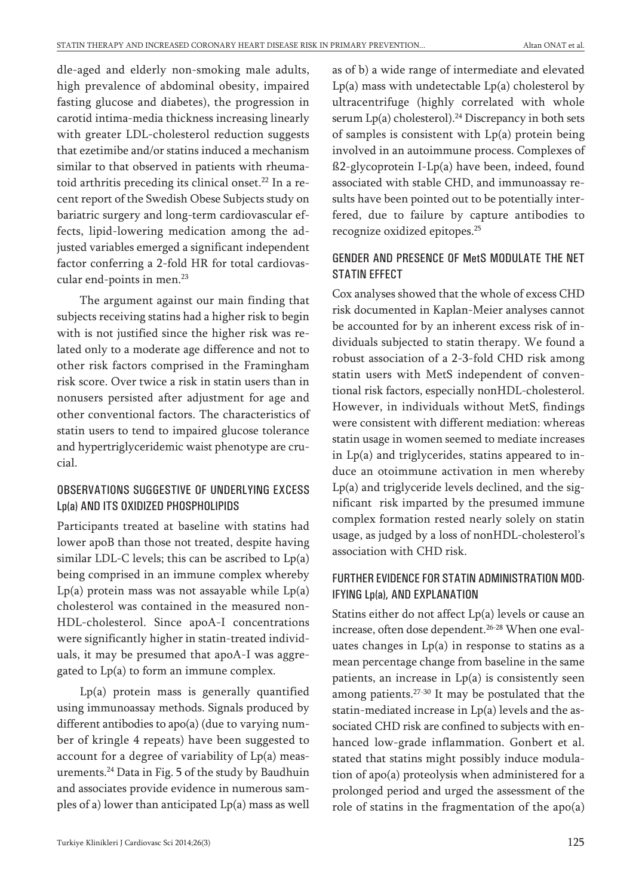dle-aged and elderly non-smoking male adults, high prevalence of abdominal obesity, impaired fasting glucose and diabetes), the progression in carotid intima-media thickness increasing linearly with greater LDL-cholesterol reduction suggests that ezetimibe and/or statins induced a mechanism similar to that observed in patients with rheumatoid arthritis preceding its clinical onset. <sup>22</sup> In a recent report of the Swedish Obese Subjects study on bariatric surgery and long-term cardiovascular effects, lipid-lowering medication among the adjusted variables emerged a significant independent factor conferring a 2-fold HR for total cardiovascular end-points in men. 23

The argument against our main finding that subjects receiving statins had a higher risk to begin with is not justified since the higher risk was related only to a moderate age difference and not to other risk factors comprised in the Framingham risk score. Over twice a risk in statin users than in nonusers persisted after adjustment for age and other conventional factors. The characteristics of statin users to tend to impaired glucose tolerance and hypertriglyceridemic waist phenotype are crucial.

#### OBSERVATIONS SUGGESTIVE OF UNDERLYING EXCESS Lp(a) AND ITS OXIDIZED PHOSPHOLIPIDS

Participants treated at baseline with statins had lower apoB than those not treated, despite having similar LDL-C levels; this can be ascribed to Lp(a) being comprised in an immune complex whereby  $Lp(a)$  protein mass was not assayable while  $Lp(a)$ cholesterol was contained in the measured non-HDL-cholesterol. Since apoA-I concentrations were significantly higher in statin-treated individuals, it may be presumed that apoA-I was aggregated to Lp(a) to form an immune complex.

Lp(a) protein mass is generally quantified using immunoassay methods. Signals produced by different antibodies to apo(a) (due to varying number of kringle 4 repeats) have been suggested to account for a degree of variability of Lp(a) measurements. <sup>24</sup> Data in Fig. 5 of the study by Baudhuin and associates provide evidence in numerous samples of a) lower than anticipated Lp(a) mass as well as of b) a wide range of intermediate and elevated  $Lp(a)$  mass with undetectable  $Lp(a)$  cholesterol by ultracentrifuge (highly correlated with whole serum Lp(a) cholesterol). <sup>24</sup> Discrepancy in both sets of samples is consistent with Lp(a) protein being involved in an autoimmune process. Complexes of ß2-glycoprotein I-Lp(a) have been, indeed, found associated with stable CHD, and immunoassay results have been pointed out to be potentially interfered, due to failure by capture antibodies to recognize oxidized epitopes. 25

#### GENDER AND PRESENCE OF MetS MODULATE THE NET STATIN EFFECT

Cox analyses showed that the whole of excess CHD risk documented in Kaplan-Meier analyses cannot be accounted for by an inherent excess risk of individuals subjected to statin therapy. We found a robust association of a 2-3-fold CHD risk among statin users with MetS independent of conventional risk factors, especially nonHDL-cholesterol. However, in individuals without MetS, findings were consistent with different mediation: whereas statin usage in women seemed to mediate increases in Lp(a) and triglycerides, statins appeared to induce an otoimmune activation in men whereby Lp(a) and triglyceride levels declined, and the significant risk imparted by the presumed immune complex formation rested nearly solely on statin usage, as judged by a loss of nonHDL-cholesterol's association with CHD risk.

#### FURTHER EVIDENCE FOR STATIN ADMINISTRATION MOD-IFYING Lp(a), AND EXPLANATION

Statins either do not affect  $Lp(a)$  levels or cause an increase, often dose dependent. 26-28 When one evaluates changes in  $Lp(a)$  in response to statins as a mean percentage change from baseline in the same patients, an increase in  $Lp(a)$  is consistently seen among patients.<sup>27-30</sup> It may be postulated that the statin-mediated increase in Lp(a) levels and the associated CHD risk are confined to subjects with enhanced low-grade inflammation. Gonbert et al. stated that statins might possibly induce modulation of apo(a) proteolysis when administered for a prolonged period and urged the assessment of the role of statins in the fragmentation of the apo(a)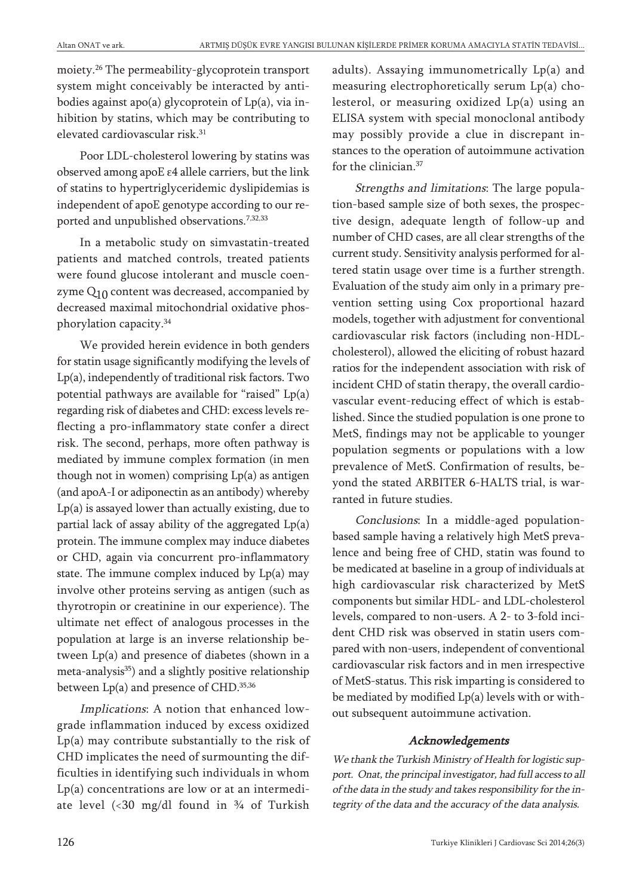moiety. <sup>26</sup> The permeability-glycoprotein transport system might conceivably be interacted by antibodies against apo(a) glycoprotein of Lp(a), via inhibition by statins, which may be contributing to elevated cardiovascular risk. 31

Poor LDL-cholesterol lowering by statins was observed among apoE ε4 allele carriers, but the link of statins to hypertriglyceridemic dyslipidemias is independent of apoE genotype according to our reported and unpublished observations. 7,32,33

In a metabolic study on simvastatin-treated patients and matched controls, treated patients were found glucose intolerant and muscle coenzyme  $Q_{10}$  content was decreased, accompanied by decreased maximal mitochondrial oxidative phosphorylation capacity. 34

We provided herein evidence in both genders for statin usage significantly modifying the levels of Lp(a), independently of traditional risk factors. Two potential pathways are available for "raised" Lp(a) regarding risk of diabetes and CHD: excess levels reflecting a pro-inflammatory state confer a direct risk. The second, perhaps, more often pathway is mediated by immune complex formation (in men though not in women) comprising Lp(a) as antigen (and apoA-I or adiponectin as an antibody) whereby Lp(a) is assayed lower than actually existing, due to partial lack of assay ability of the aggregated Lp(a) protein. The immune complex may induce diabetes or CHD, again via concurrent pro-inflammatory state. The immune complex induced by Lp(a) may involve other proteins serving as antigen (such as thyrotropin or creatinine in our experience). The ultimate net effect of analogous processes in the population at large is an inverse relationship between Lp(a) and presence of diabetes (shown in a meta-analysis<sup>35</sup>) and a slightly positive relationship between Lp(a) and presence of CHD.<sup>35,36</sup>

Implications: A notion that enhanced lowgrade inflammation induced by excess oxidized Lp(a) may contribute substantially to the risk of CHD implicates the need of surmounting the difficulties in identifying such individuals in whom Lp(a) concentrations are low or at an intermediate level  $\langle$  30 mg/dl found in  $\frac{3}{4}$  of Turkish

adults). Assaying immunometrically Lp(a) and measuring electrophoretically serum Lp(a) cholesterol, or measuring oxidized Lp(a) using an ELISA system with special monoclonal antibody may possibly provide a clue in discrepant instances to the operation of autoimmune activation for the clinician. 37

Strengths and limitations: The large population-based sample size of both sexes, the prospective design, adequate length of follow-up and number of CHD cases, are all clear strengths of the current study. Sensitivity analysis performed for altered statin usage over time is a further strength. Evaluation of the study aim only in a primary prevention setting using Cox proportional hazard models, together with adjustment for conventional cardiovascular risk factors (including non-HDLcholesterol), allowed the eliciting of robust hazard ratios for the independent association with risk of incident CHD of statin therapy, the overall cardiovascular event-reducing effect of which is established. Since the studied population is one prone to MetS, findings may not be applicable to younger population segments or populations with a low prevalence of MetS. Confirmation of results, beyond the stated ARBITER 6-HALTS trial, is warranted in future studies.

Conclusions: In a middle-aged populationbased sample having a relatively high MetS prevalence and being free of CHD, statin was found to be medicated at baseline in a group of individuals at high cardiovascular risk characterized by MetS components but similar HDL- and LDL-cholesterol levels, compared to non-users. A 2- to 3-fold incident CHD risk was observed in statin users compared with non-users, independent of conventional cardiovascular risk factors and in men irrespective of MetS-status. This risk imparting is considered to be mediated by modified Lp(a) levels with or without subsequent autoimmune activation.

#### Acknowledgements

We thank the Turkish Ministry of Health for logistic support. Onat, the principal investigator, had full access to all of the data in the study and takes responsibility for the integrity of the data and the accuracy of the data analysis.